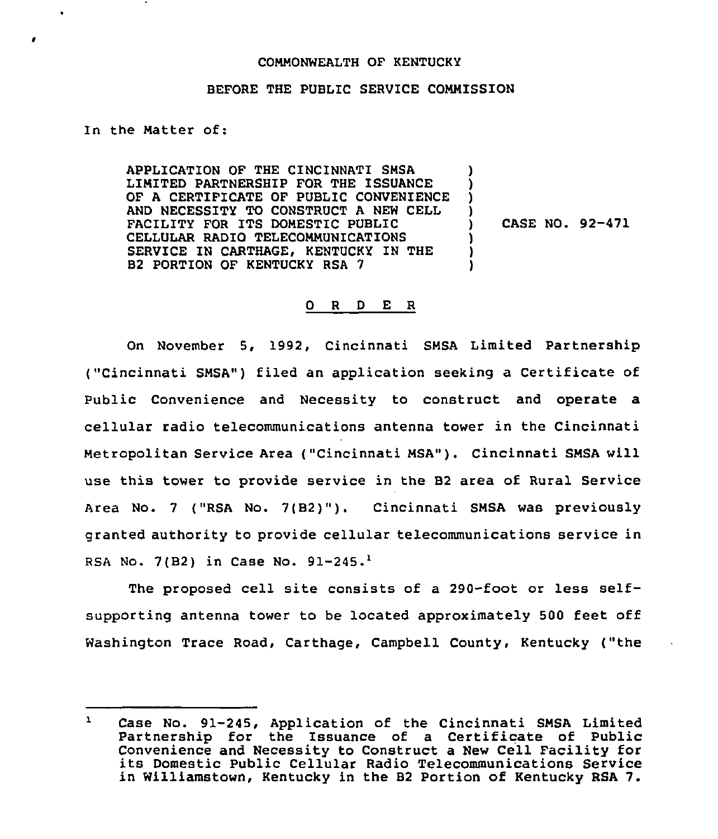## CONNONWEALTH OF KENTUCKY

## BEFORE THE PUBLIC SERVICE COMMISSION

In the Natter of:

 $\bullet$ 

APPLICATION OF THE CINCINNATI SNSA LIMITED PARTNERSHIP FOR THE ISSUANCE OF A CERTIFICATE OF PUBLIC CONVENIENCE AND NECESSITY TO CONSTRUCT A NEW CELL FACILITY FOR ITS DOMESTIC PUBLIC CELLULAR RADIO TELECOMMUNICATIONS SERVICE IN CARTHAGE, KENTUCKY IN THE B2 PORTION OF KENTUCKY RSA 7

) CASE NO. 92-471

) ) ) )

> ) ) )

## 0 <sup>R</sup> <sup>D</sup> E <sup>R</sup>

On November 5, 1992, Cincinnati SHSA Limited Partnership ("Cincinnati SHSA") filed an application seeking <sup>a</sup> Certificate of Public Convenience and Necessity to construct and operate a cellular radio telecommunications antenna tower in the Cincinnati Metropolitan Service Area ("Cincinnati MSA"). Cincinnati SMSA will use this tower to provide service in the B2 area of Rural Service Area No. <sup>7</sup> ("RSA No. 7(B2)"). Cincinnati SNSA was previously granted authority to provide cellular telecommunications service in RSA No.  $7(B2)$  in Case No.  $91-245.^1$ 

The proposed cell site consists of a 290-foot or less selfsupporting antenna tower to be located approximately 500 feet off Washington Trace Road, Carthage, Campbell County, Kentucky ("the

 $\mathbf{Y}$ Case No. 91-245, Application of the Cincinnati SNSA Limited Partnership for the Issuance of a Certificate of Public Convenience and Necessity to Construct <sup>a</sup> New Cell Facility for its Domestic Public Cellular Radio Telecommunications Service in Williamstown, Kentucky in the B2 Portion of Kentucky RSA 7.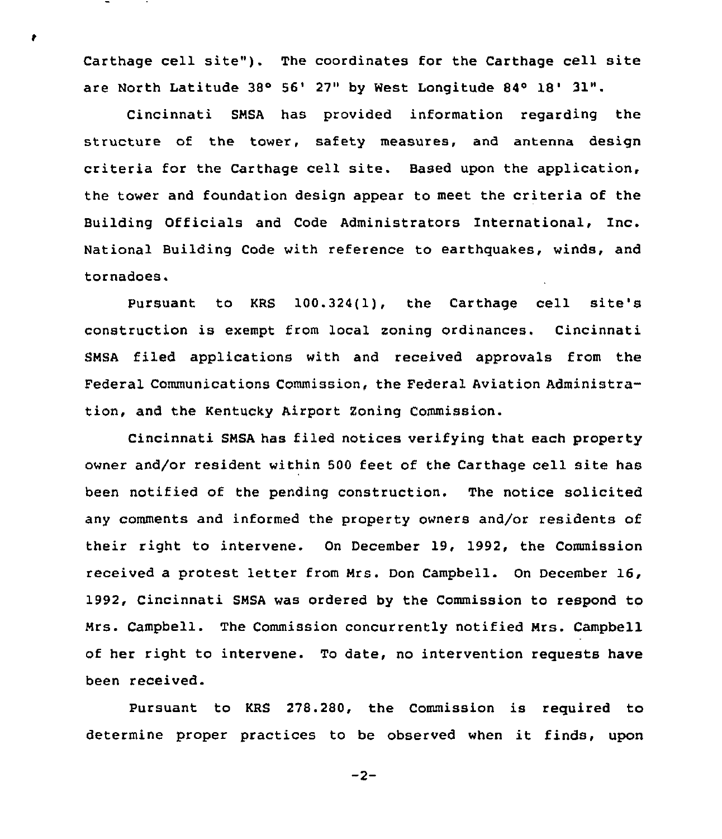Carthage cell site"). The coordinates for the Carthage cell site are North Latitude 38° 56' 27" by West Longitude 84° 18' 31".

Ŷ.

Cincinnati SMSA has provided information regarding the structure of the tower, safety measures, and antenna design criteria for the Carthage cell site. Based upon the application, the tower and foundation design appear to meet the criteria of the Building Officials and Code Administrators International, Inc. National Building Code with reference to earthquakes, winds, and tornadoes.

Pursuant to KRS 100.324(1), the Carthage cell site's construction is exempt from local zoning ordinances. Cincinnati SNSA filed applications with and received approvals from the Federal Communications Commission, the Federal Aviation Administration, and the Kentucky Airport Zoning Commission.

Cincinnati SMSA has filed notices verifying that each property owner and/or resident within 500 feet of the Carthage cell site has been notified of the pending construction. The notice solicited any comments and informed the property owners and/or residents of their right to intervene. On December 19, 1992, the Commission received a protest letter from Nrs. Don Campbell. On December 16, 1992, Cincinnati SNSA was ordered by the Commission to respond to Nrs. Campbell. The Commission concurrently notified Mrs. Campbell of her right to intervene. To date, no intervention requests have been received.

Pursuant to KRS 278.280, the Commission is required to determine proper practices to be observed when it finds, upon

 $-2-$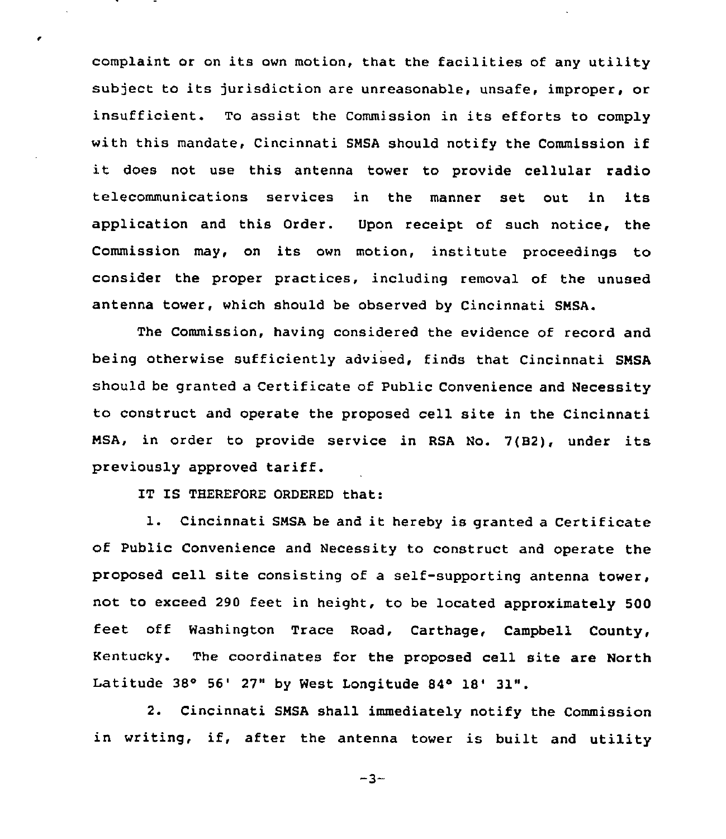complaint or on its own motion, that the facilities of any utility subject to its jurisdiction are unreasonable, unsafe, improper, or insufficient. To assist the Commission in its efforts to comply with this mandate, Cincinnati SMSA should notify the Commission if it does not use this antenna tower to provide cellular radio telecommunications services in the manner set out in its application and this Order. Upon receipt of such notice, the Commission may, on its own motion, institute proceedings to consider the proper practices, including removal of the unused antenna tower, which should be observed by Cincinnati SNSA.

The Commission, having considered the evidence of record and being otherwise sufficiently advised, finds that Cincinnati SNSA should be granted a Certificate of Public Convenience and Necessity to construct and operate the proposed cell site in the Cincinnati NSA, in order to provide service in RSA No. 7(B2), under its previously approved tariff.

IT IS THEREFORE ORDERED that:

 $\epsilon$ 

1. Cincinnati SNSA be and it hereby is granted <sup>a</sup> Certificate of Public Convenience and Necessity to construct and operate the proposed cell site consisting of a self-supporting antenna tower, not to exceed 290 feet in height, to be located approximately 500 feet off Washington Trace Road, Carthage, Campbell County, Kentucky. The coordinates for the proposed cell site are North Latitude  $38°$  56' 27" by West Longitude  $84°$  18' 31".

2. Cincinnati SNSA shall immediately notify the Commission in writing, if, after the antenna tower is built and utility

 $-3-$